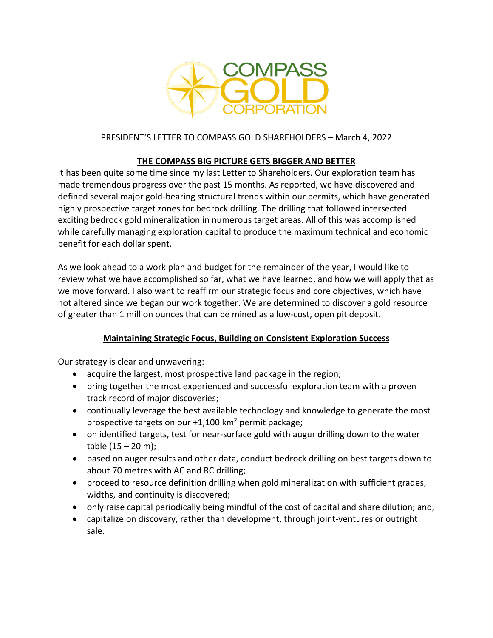

# PRESIDENT'S LETTER TO COMPASS GOLD SHAREHOLDERS – March 4, 2022

# **THE COMPASS BIG PICTURE GETS BIGGER AND BETTER**

It has been quite some time since my last Letter to Shareholders. Our exploration team has made tremendous progress over the past 15 months. As reported, we have discovered and defined several major gold-bearing structural trends within our permits, which have generated highly prospective target zones for bedrock drilling. The drilling that followed intersected exciting bedrock gold mineralization in numerous target areas. All of this was accomplished while carefully managing exploration capital to produce the maximum technical and economic benefit for each dollar spent.

As we look ahead to a work plan and budget for the remainder of the year, I would like to review what we have accomplished so far, what we have learned, and how we will apply that as we move forward. I also want to reaffirm our strategic focus and core objectives, which have not altered since we began our work together. We are determined to discover a gold resource of greater than 1 million ounces that can be mined as a low-cost, open pit deposit.

## **Maintaining Strategic Focus, Building on Consistent Exploration Success**

Our strategy is clear and unwavering:

- acquire the largest, most prospective land package in the region;
- bring together the most experienced and successful exploration team with a proven track record of major discoveries;
- continually leverage the best available technology and knowledge to generate the most prospective targets on our  $+1,100$  km<sup>2</sup> permit package;
- on identified targets, test for near-surface gold with augur drilling down to the water table  $(15 - 20 \text{ m})$ ;
- based on auger results and other data, conduct bedrock drilling on best targets down to about 70 metres with AC and RC drilling;
- proceed to resource definition drilling when gold mineralization with sufficient grades, widths, and continuity is discovered;
- only raise capital periodically being mindful of the cost of capital and share dilution; and,
- capitalize on discovery, rather than development, through joint-ventures or outright sale.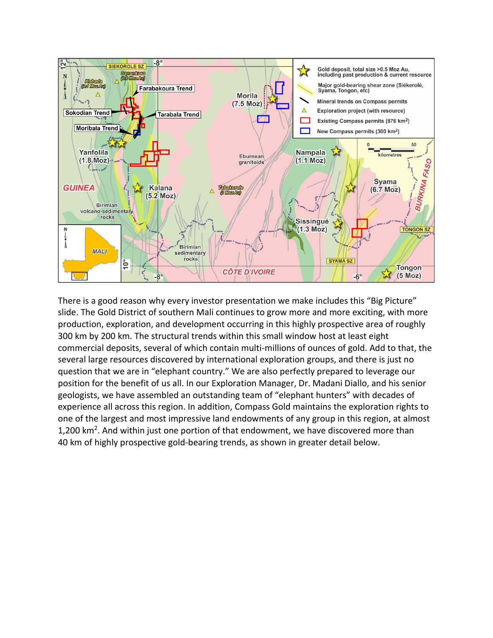

There is a good reason why every investor presentation we make includes this "Big Picture" slide. The Gold District of southern Mali continues to grow more and more exciting, with more production, exploration, and development occurring in this highly prospective area of roughly 300 km by 200 km. The structural trends within this small window host at least eight commercial deposits, several of which contain multi-millions of ounces of gold. Add to that, the several large resources discovered by international exploration groups, and there is just no question that we are in "elephant country." We are also perfectly prepared to leverage our position for the benefit of us all. In our Exploration Manager, Dr. Madani Diallo, and his senior geologists, we have assembled an outstanding team of "elephant hunters" with decades of experience all across this region. In addition, Compass Gold maintains the exploration rights to one of the largest and most impressive land endowments of any group in this region, at almost 1,200 km<sup>2</sup>. And within just one portion of that endowment, we have discovered more than 40 km of highly prospective gold-bearing trends, as shown in greater detail below.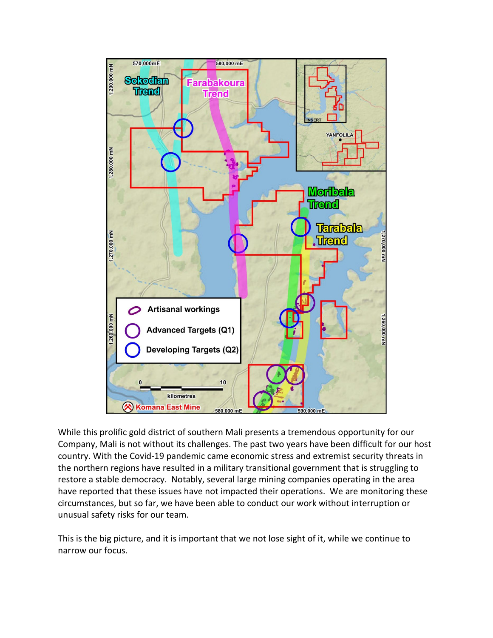

While this prolific gold district of southern Mali presents a tremendous opportunity for our Company, Mali is not without its challenges. The past two years have been difficult for our host country. With the Covid-19 pandemic came economic stress and extremist security threats in the northern regions have resulted in a military transitional government that is struggling to restore a stable democracy. Notably, several large mining companies operating in the area have reported that these issues have not impacted their operations. We are monitoring these circumstances, but so far, we have been able to conduct our work without interruption or unusual safety risks for our team.

This is the big picture, and it is important that we not lose sight of it, while we continue to narrow our focus.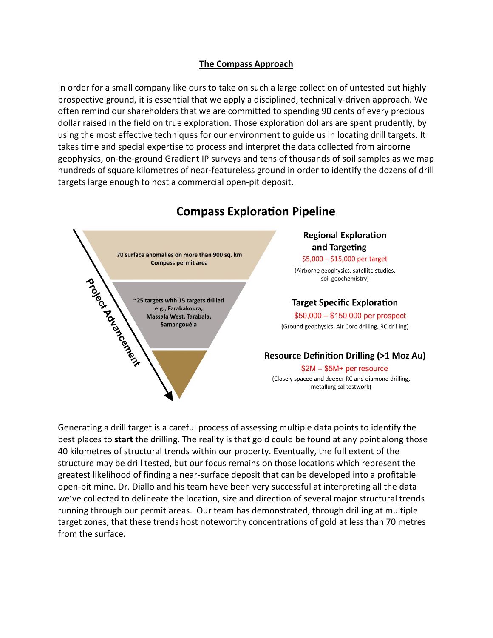#### **The Compass Approach**

In order for a small company like ours to take on such a large collection of untested but highly prospective ground, it is essential that we apply a disciplined, technically-driven approach. We often remind our shareholders that we are committed to spending 90 cents of every precious dollar raised in the field on true exploration. Those exploration dollars are spent prudently, by using the most effective techniques for our environment to guide us in locating drill targets. It takes time and special expertise to process and interpret the data collected from airborne geophysics, on-the-ground Gradient IP surveys and tens of thousands of soil samples as we map hundreds of square kilometres of near-featureless ground in order to identify the dozens of drill targets large enough to host a commercial open-pit deposit.



# **Compass Exploration Pipeline**

Generating a drill target is a careful process of assessing multiple data points to identify the best places to **start** the drilling. The reality is that gold could be found at any point along those 40 kilometres of structural trends within our property. Eventually, the full extent of the structure may be drill tested, but our focus remains on those locations which represent the greatest likelihood of finding a near-surface deposit that can be developed into a profitable open-pit mine. Dr. Diallo and his team have been very successful at interpreting all the data we've collected to delineate the location, size and direction of several major structural trends running through our permit areas. Our team has demonstrated, through drilling at multiple target zones, that these trends host noteworthy concentrations of gold at less than 70 metres from the surface.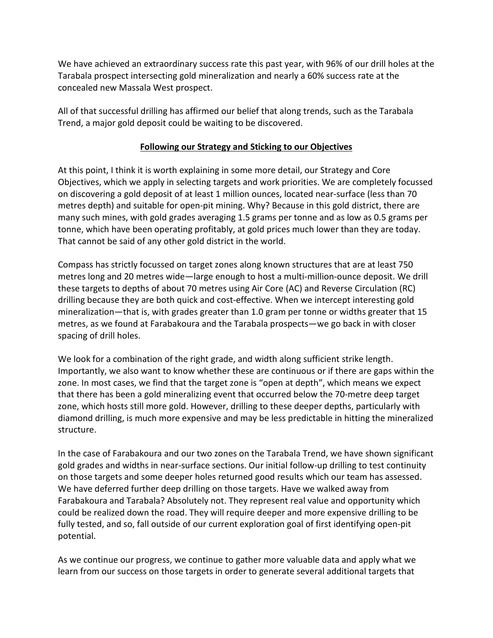We have achieved an extraordinary success rate this past year, with 96% of our drill holes at the Tarabala prospect intersecting gold mineralization and nearly a 60% success rate at the concealed new Massala West prospect.

All of that successful drilling has affirmed our belief that along trends, such as the Tarabala Trend, a major gold deposit could be waiting to be discovered.

## **Following our Strategy and Sticking to our Objectives**

At this point, I think it is worth explaining in some more detail, our Strategy and Core Objectives, which we apply in selecting targets and work priorities. We are completely focussed on discovering a gold deposit of at least 1 million ounces, located near-surface (less than 70 metres depth) and suitable for open-pit mining. Why? Because in this gold district, there are many such mines, with gold grades averaging 1.5 grams per tonne and as low as 0.5 grams per tonne, which have been operating profitably, at gold prices much lower than they are today. That cannot be said of any other gold district in the world.

Compass has strictly focussed on target zones along known structures that are at least 750 metres long and 20 metres wide—large enough to host a multi-million-ounce deposit. We drill these targets to depths of about 70 metres using Air Core (AC) and Reverse Circulation (RC) drilling because they are both quick and cost-effective. When we intercept interesting gold mineralization—that is, with grades greater than 1.0 gram per tonne or widths greater that 15 metres, as we found at Farabakoura and the Tarabala prospects—we go back in with closer spacing of drill holes.

We look for a combination of the right grade, and width along sufficient strike length. Importantly, we also want to know whether these are continuous or if there are gaps within the zone. In most cases, we find that the target zone is "open at depth", which means we expect that there has been a gold mineralizing event that occurred below the 70-metre deep target zone, which hosts still more gold. However, drilling to these deeper depths, particularly with diamond drilling, is much more expensive and may be less predictable in hitting the mineralized structure.

In the case of Farabakoura and our two zones on the Tarabala Trend, we have shown significant gold grades and widths in near-surface sections. Our initial follow-up drilling to test continuity on those targets and some deeper holes returned good results which our team has assessed. We have deferred further deep drilling on those targets. Have we walked away from Farabakoura and Tarabala? Absolutely not. They represent real value and opportunity which could be realized down the road. They will require deeper and more expensive drilling to be fully tested, and so, fall outside of our current exploration goal of first identifying open-pit potential.

As we continue our progress, we continue to gather more valuable data and apply what we learn from our success on those targets in order to generate several additional targets that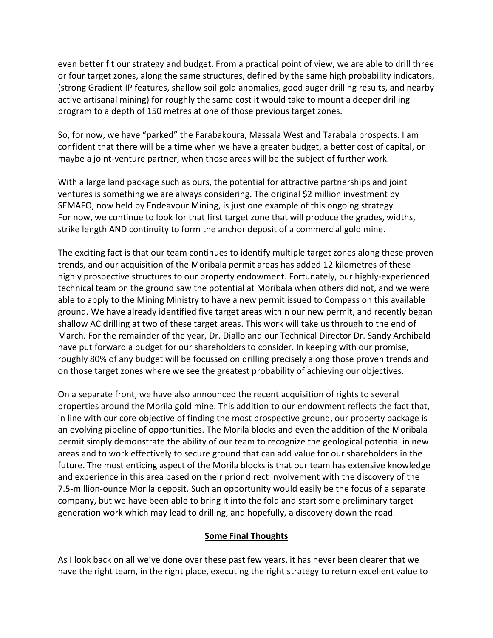even better fit our strategy and budget. From a practical point of view, we are able to drill three or four target zones, along the same structures, defined by the same high probability indicators, (strong Gradient IP features, shallow soil gold anomalies, good auger drilling results, and nearby active artisanal mining) for roughly the same cost it would take to mount a deeper drilling program to a depth of 150 metres at one of those previous target zones.

So, for now, we have "parked" the Farabakoura, Massala West and Tarabala prospects. I am confident that there will be a time when we have a greater budget, a better cost of capital, or maybe a joint-venture partner, when those areas will be the subject of further work.

With a large land package such as ours, the potential for attractive partnerships and joint ventures is something we are always considering. The original \$2 million investment by SEMAFO, now held by Endeavour Mining, is just one example of this ongoing strategy For now, we continue to look for that first target zone that will produce the grades, widths, strike length AND continuity to form the anchor deposit of a commercial gold mine.

The exciting fact is that our team continues to identify multiple target zones along these proven trends, and our acquisition of the Moribala permit areas has added 12 kilometres of these highly prospective structures to our property endowment. Fortunately, our highly-experienced technical team on the ground saw the potential at Moribala when others did not, and we were able to apply to the Mining Ministry to have a new permit issued to Compass on this available ground. We have already identified five target areas within our new permit, and recently began shallow AC drilling at two of these target areas. This work will take us through to the end of March. For the remainder of the year, Dr. Diallo and our Technical Director Dr. Sandy Archibald have put forward a budget for our shareholders to consider. In keeping with our promise, roughly 80% of any budget will be focussed on drilling precisely along those proven trends and on those target zones where we see the greatest probability of achieving our objectives.

On a separate front, we have also announced the recent acquisition of rights to several properties around the Morila gold mine. This addition to our endowment reflects the fact that, in line with our core objective of finding the most prospective ground, our property package is an evolving pipeline of opportunities. The Morila blocks and even the addition of the Moribala permit simply demonstrate the ability of our team to recognize the geological potential in new areas and to work effectively to secure ground that can add value for our shareholders in the future. The most enticing aspect of the Morila blocks is that our team has extensive knowledge and experience in this area based on their prior direct involvement with the discovery of the 7.5-million-ounce Morila deposit. Such an opportunity would easily be the focus of a separate company, but we have been able to bring it into the fold and start some preliminary target generation work which may lead to drilling, and hopefully, a discovery down the road.

## **Some Final Thoughts**

As I look back on all we've done over these past few years, it has never been clearer that we have the right team, in the right place, executing the right strategy to return excellent value to